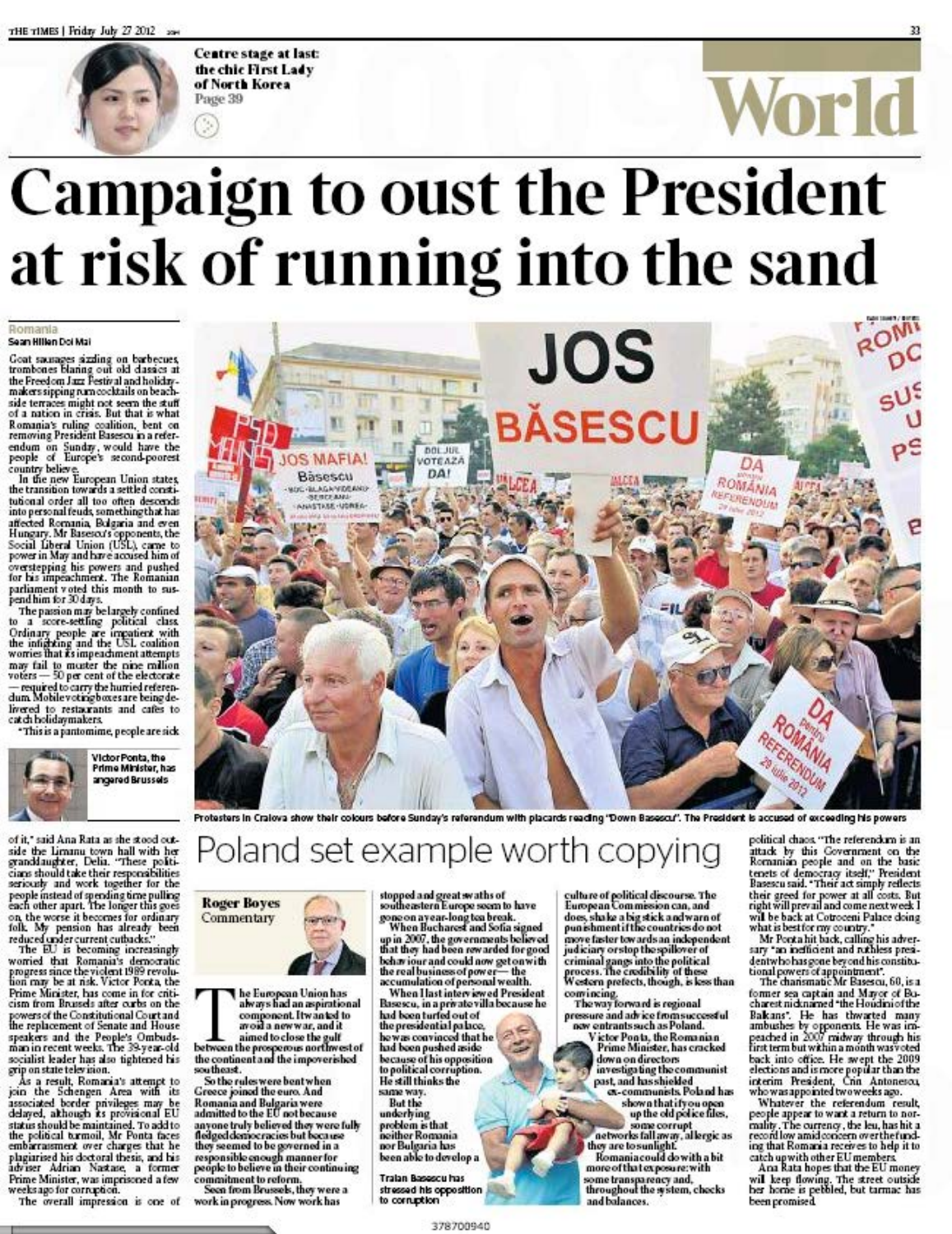

**Centre stage at last:** the chic First Lady of North Korea Page 39

## World **Campaign to oust the President**

# at risk of running into the sand

#### Romania Sean Hillen Dol Mai

 $\begin{tabular}{p{0.85\textwidth}}\textbf{Got samples } \textit{sixling on barbeces}\\ \textit{trambones} \textit{blaning out old classes at}\\ \textit{the Freedom Jax Festival and holiday-makers signaling} \textit{runocoktails} \textit{on beach-makers signaling} \end{tabular}$ mate support models and the search of a ration in crisis. But that is what<br>of a ration in crisis. But that is what<br>Romania's ruling coalition, bent on<br>removing President Basescu in a referendum on Sunday, would have the<br>people of Europe's second-poorest

country believe.<br>In the new European Union states,<br>the transition towards a settled constithe transition of white a setted consideration of the second<br>into personal feuds, something that has<br>interested Romania, Belgaria and even<br>Hungary. Mr Basesco's opponents, the<br>Social Liberal Union (USL), came to<br>power in M power teping his powers and pushed<br>for his impechance. The Romanian<br>parliament voted this month to sus-<br>pendhim for 20 days.

pendum ter sources<br>
the passion may be largely confined<br>
to a score-setting political class<br>
Ordinary people are impatient with<br>
the infighting and the USL coalition<br>
wornes that is impeddiment attempts way fail to master the nine million<br>voters - 50 per cent of the electorate<br>- required to carry the hurried referen-<br>dum Mobilevotingboxes are being delivered to restaurants and cafes to<br>catchbolidaymakers.

\*This is a pantomime, people are sick



of it," said Ana Rata as she stood outside the Limanu town hall with her<br>granddaughter, Delia. "These politicians should take their responsibilities<br>seriously and work together for the senously and work together for the<br>people instead of spending time pulling<br>each other apart. The longer this goes<br>on the worse it becomes for ordinary<br>folk. My pension has already been<br>reduced under current cuttodes."<br>The

Prime Minister, has come in for criti-<br>cism from Brusels after curbs on the powers of the Constitutional Court and<br>the replacement of Senate and House me repute and the People's Ombuds-<br>man in recent weeks. The 38-year-old<br>socialist leader has also tightened his grip on state television.

grip on state television.<br>
As a result, Romania's attempt to<br>
As a result, Romania's attempt to<br>
join the Schengen Area with its<br>
associated border privileges may be<br>
delayed, akhough its provisional EU<br>
status should be m Adrian Nastase, a former Prime Minister, was imprisoned a few<br>weeks ago for corruption.

The overall impression is one of



Protesters in Craiova show their colours before Sunday's referendum with placards reading 'Down Basescu''. The President is accused of exceeding his powers

### Poland set example worth copying

**Roger Boyes** Commentary



he European Union has<br>always had an aspirational component. It wanted to<br>
avoid a new war, and it<br>
aimed to close the gulf<br>
between the prespectous northwest of<br>
the continent and the impoverished

southeast. Solutions.<br>
So the rules were bent when<br>
Greece joined the euro. And<br>
Romania and Bulgaria were<br>
admitted to the EU not because anyone truly believed they were fully<br>fledged democracies but because<br>they seemed to be governed in a<br>responsible enough manner for<br>people to believe in their continuing commitment to reform.<br>Seen from Brussels, they were a

work in progress. Now work has

stopped and great swaths of<br>southeastern Europe seem to have<br>gone on ayear-long tea break.<br>When Bucharest and Sofia signed

up in 2007, the governments believed<br>that they had been rewarded for good

that they had been rewarded tor good<br>behaviour and could now get onwith<br>the real business of power—the<br>accumulation of personal wealth.<br>When I last interwise dPresident<br>has see, in a private villa because he<br>had been turf had been pushed aside<br>because of his opposition<br>to political corruption. He still thinks the same way. **But the** underlying problem is that neither Romania<br>nor Bulgaria has been able to develop a

378700940

Tralan Basescu has stressed his opposition to corruption

culture of political discourse. The<br>European Commission can, and<br>does, shake a big stick and warn of<br>punishment if the countries do not pursuance transfer the countries do not<br>increase faster towards an independent<br>judiciary or stop the spillover of<br>criminal gangs into the political<br>process. The credibility of these<br>Western prefects, though, is less than convincing.<br>The way forward is regional

pressure and advice from successful<br>now entrants such as Poland.

Victor Ponts, the Romanian<br>Prime Minister, has cracked down on directors investigating the communist past, and has shielded<br>ex-communists. Poland has

shown that if you open<br>up the old police files,

some corrupt<br>networks fall away, al lergic as<br>they are to sunlight.<br>Romania could do with a bit more of that exposure: with some transparency and,<br>throughout the system, checks and balances.

political chaos. "The referendum is an putual units Covernment on the<br>Romanian people and on the basic<br>tenets of democracy itself," President<br>Basescu said. "Their act simply reflects their greed for power at all costs. But<br>right will prevail and come next week I will be back at Cotroceni Palace doing

what is best for my country."<br>Mr Pont a hit back, calling his adver-<br>sary "an inefficient and ruthless presidentwho has gone beyond his constitutional powers of appointment.<br>The chansmatic Mr Basescu, 60, is a

former sea captain and Mayor of Bo-<br>charest nicknamed "the Houdiniof the charest mcdanamed "the Houdanotthe Bakans". He has thwared many<br>ambushes by opponents. He was impeached in 2007 midway through his<br>tint term but within a month was veeded<br>back into office. He awept the 2009<br>elections and i

Whatever the referendum result, people appear to want a return to normality. The currency, the leu, has hit a<br>record low amid concern overthefunding that Romania receives to help it to catch upwith other EU members.<br>Ana Rata hopes that the EU money

will keep flowing. The street outside<br>her home is pebbled, but tarmac has<br>been promised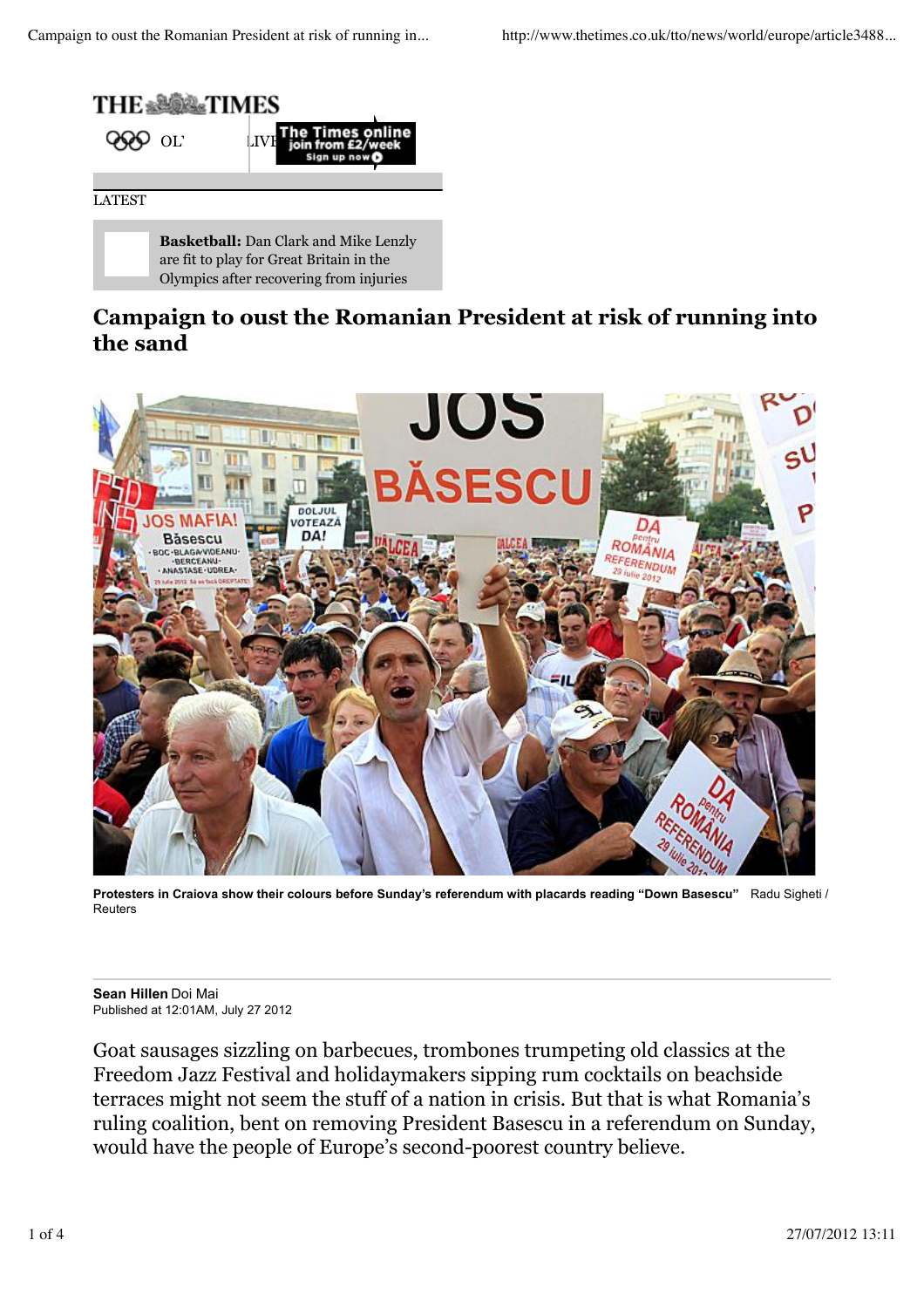

**Basketball:** Dan Clark and Mike Lenzly are fit to play for Great Britain in the Olympics after recovering from injuries

### **Campaign to oust the Romanian President at risk of running into the sand**



**Protesters in Craiova show their colours before Sunday's referendum with placards reading "Down Basescu"** Radu Sigheti / Reuters

**Sean Hillen** Doi Mai Published at 12:01AM, July 27 2012

Goat sausages sizzling on barbecues, trombones trumpeting old classics at the Freedom Jazz Festival and holidaymakers sipping rum cocktails on beachside terraces might not seem the stuff of a nation in crisis. But that is what Romania's ruling coalition, bent on removing President Basescu in a referendum on Sunday, would have the people of Europe's second-poorest country believe.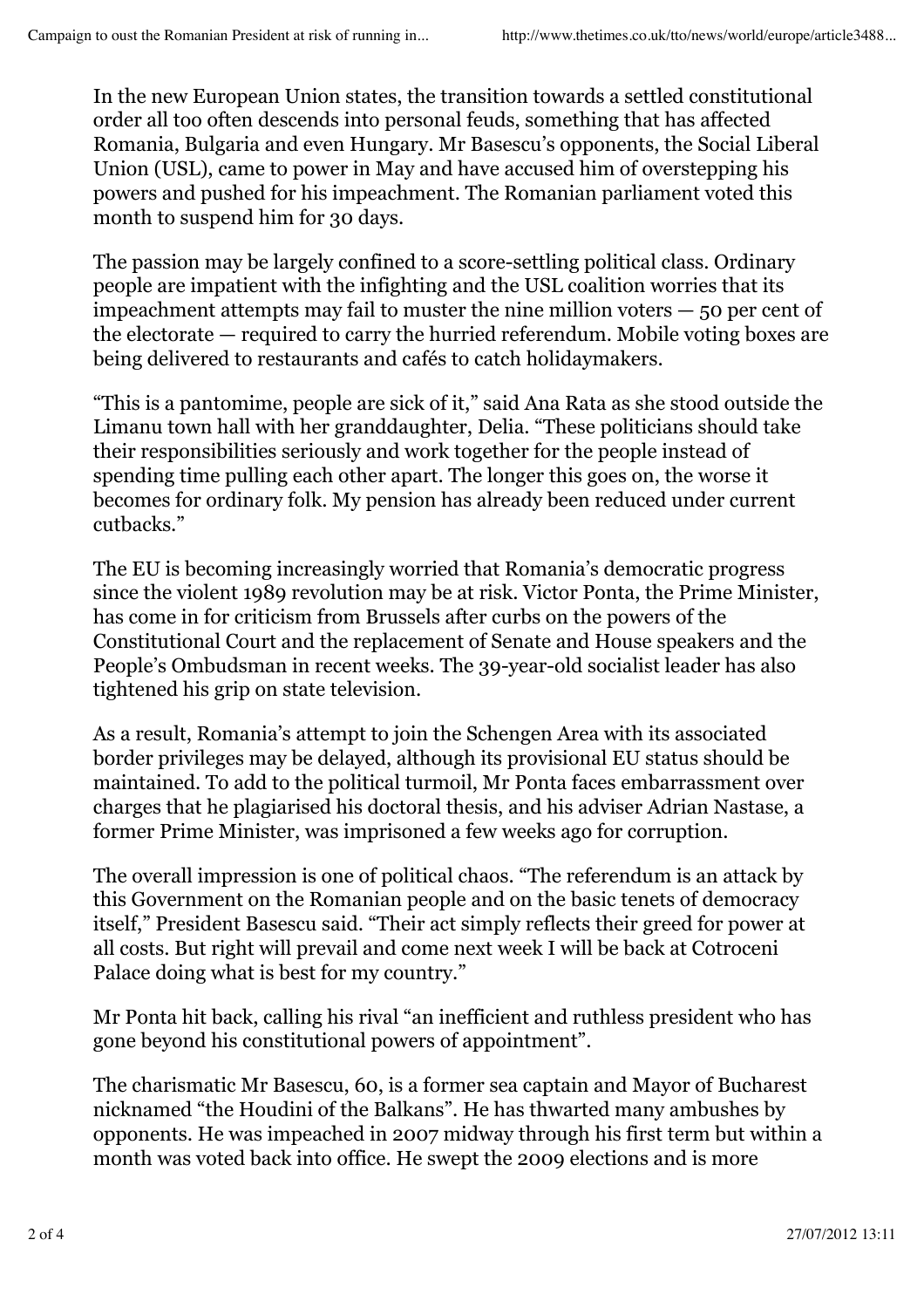In the new European Union states, the transition towards a settled constitutional order all too often descends into personal feuds, something that has affected Romania, Bulgaria and even Hungary. Mr Basescu's opponents, the Social Liberal Union (USL), came to power in May and have accused him of overstepping his powers and pushed for his impeachment. The Romanian parliament voted this month to suspend him for 30 days.

The passion may be largely confined to a score-settling political class. Ordinary people are impatient with the infighting and the USL coalition worries that its  $impeachment$  attempts may fail to muster the nine million voters  $-50$  per cent of the electorate — required to carry the hurried referendum. Mobile voting boxes are being delivered to restaurants and cafés to catch holidaymakers.

"This is a pantomime, people are sick of it," said Ana Rata as she stood outside the Limanu town hall with her granddaughter, Delia. "These politicians should take their responsibilities seriously and work together for the people instead of spending time pulling each other apart. The longer this goes on, the worse it becomes for ordinary folk. My pension has already been reduced under current cutbacks."

The EU is becoming increasingly worried that Romania's democratic progress since the violent 1989 revolution may be at risk. Victor Ponta, the Prime Minister, has come in for criticism from Brussels after curbs on the powers of the Constitutional Court and the replacement of Senate and House speakers and the People's Ombudsman in recent weeks. The 39-year-old socialist leader has also tightened his grip on state television.

As a result, Romania's attempt to join the Schengen Area with its associated border privileges may be delayed, although its provisional EU status should be maintained. To add to the political turmoil, Mr Ponta faces embarrassment over charges that he plagiarised his doctoral thesis, and his adviser Adrian Nastase, a former Prime Minister, was imprisoned a few weeks ago for corruption.

The overall impression is one of political chaos. "The referendum is an attack by this Government on the Romanian people and on the basic tenets of democracy itself," President Basescu said. "Their act simply reflects their greed for power at all costs. But right will prevail and come next week I will be back at Cotroceni Palace doing what is best for my country."

Mr Ponta hit back, calling his rival "an inefficient and ruthless president who has gone beyond his constitutional powers of appointment".

The charismatic Mr Basescu, 60, is a former sea captain and Mayor of Bucharest nicknamed "the Houdini of the Balkans". He has thwarted many ambushes by opponents. He was impeached in 2007 midway through his first term but within a month was voted back into office. He swept the 2009 elections and is more